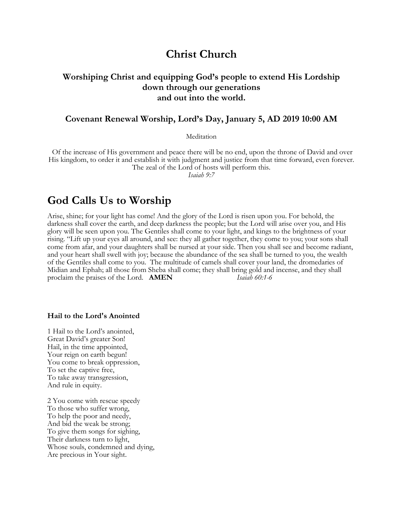## **Christ Church**

## **Worshiping Christ and equipping God's people to extend His Lordship down through our generations and out into the world.**

### **Covenant Renewal Worship, Lord's Day, January 5, AD 2019 10:00 AM**

**Meditation** 

Of the increase of His government and peace there will be no end, upon the throne of David and over His kingdom, to order it and establish it with judgment and justice from that time forward, even forever. The zeal of the Lord of hosts will perform this.

*Isaiah 9:7*

## **God Calls Us to Worship**

Arise, shine; for your light has come! And the glory of the Lord is risen upon you. For behold, the darkness shall cover the earth, and deep darkness the people; but the Lord will arise over you, and His glory will be seen upon you. The Gentiles shall come to your light, and kings to the brightness of your rising. "Lift up your eyes all around, and see: they all gather together, they come to you; your sons shall come from afar, and your daughters shall be nursed at your side. Then you shall see and become radiant, and your heart shall swell with joy; because the abundance of the sea shall be turned to you, the wealth of the Gentiles shall come to you. The multitude of camels shall cover your land, the dromedaries of Midian and Ephah; all those from Sheba shall come; they shall bring gold and incense, and they shall proclaim the praises of the Lord. **AMEN** *Isaiah 60:1-6*

#### **Hail to the Lord's Anointed**

1 Hail to the Lord's anointed, Great David's greater Son! Hail, in the time appointed, Your reign on earth begun! You come to break oppression, To set the captive free, To take away transgression, And rule in equity.

2 You come with rescue speedy To those who suffer wrong, To help the poor and needy, And bid the weak be strong; To give them songs for sighing, Their darkness turn to light, Whose souls, condemned and dying, Are precious in Your sight.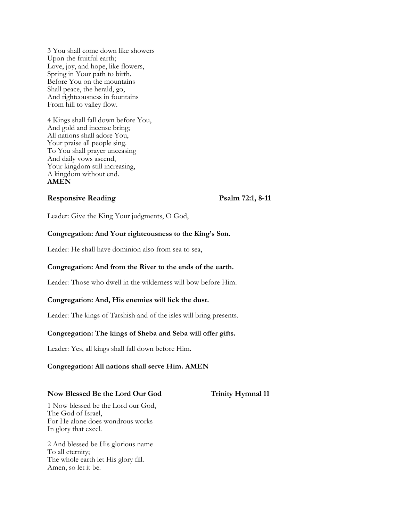3 You shall come down like showers Upon the fruitful earth; Love, joy, and hope, like flowers, Spring in Your path to birth. Before You on the mountains Shall peace, the herald, go, And righteousness in fountains From hill to valley flow.

4 Kings shall fall down before You, And gold and incense bring; All nations shall adore You, Your praise all people sing. To You shall prayer unceasing And daily vows ascend, Your kingdom still increasing, A kingdom without end. **AMEN**

#### **Responsive Reading Psalm 72:1, 8-11**

Leader: Give the King Your judgments, O God,

#### **Congregation: And Your righteousness to the King's Son.**

Leader: He shall have dominion also from sea to sea,

#### **Congregation: And from the River to the ends of the earth.**

Leader: Those who dwell in the wilderness will bow before Him.

#### **Congregation: And, His enemies will lick the dust.**

Leader: The kings of Tarshish and of the isles will bring presents.

#### **Congregation: The kings of Sheba and Seba will offer gifts.**

Leader: Yes, all kings shall fall down before Him.

#### **Congregation: All nations shall serve Him. AMEN**

#### **Now Blessed Be the Lord Our God Trinity Hymnal 11**

1 Now blessed be the Lord our God, The God of Israel, For He alone does wondrous works In glory that excel.

2 And blessed be His glorious name To all eternity; The whole earth let His glory fill. Amen, so let it be.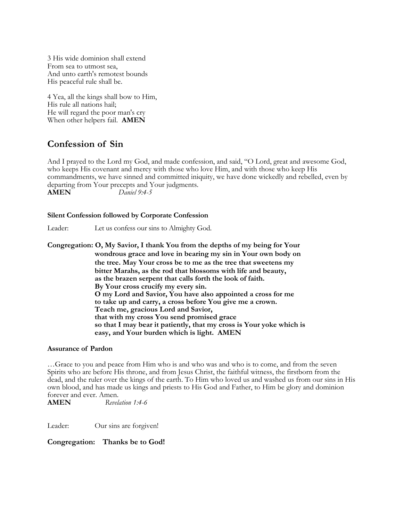3 His wide dominion shall extend From sea to utmost sea, And unto earth's remotest bounds His peaceful rule shall be.

4 Yea, all the kings shall bow to Him, His rule all nations hail; He will regard the poor man's cry When other helpers fail. **AMEN**

## **Confession of Sin**

And I prayed to the Lord my God, and made confession, and said, "O Lord, great and awesome God, who keeps His covenant and mercy with those who love Him, and with those who keep His commandments, we have sinned and committed iniquity, we have done wickedly and rebelled, even by departing from Your precepts and Your judgments.<br>AMEN Daniel 9:4-5 **AMEN** *Daniel 9:4-5*

#### **Silent Confession followed by Corporate Confession**

Leader: Let us confess our sins to Almighty God.

**Congregation: O, My Savior, I thank You from the depths of my being for Your wondrous grace and love in bearing my sin in Your own body on the tree. May Your cross be to me as the tree that sweetens my bitter Marahs, as the rod that blossoms with life and beauty, as the brazen serpent that calls forth the look of faith. By Your cross crucify my every sin. O my Lord and Savior, You have also appointed a cross for me to take up and carry, a cross before You give me a crown. Teach me, gracious Lord and Savior, that with my cross You send promised grace so that I may bear it patiently, that my cross is Your yoke which is easy, and Your burden which is light. AMEN**

#### **Assurance of Pardon**

…Grace to you and peace from Him who is and who was and who is to come, and from the seven Spirits who are before His throne, and from Jesus Christ, the faithful witness, the firstborn from the dead, and the ruler over the kings of the earth. To Him who loved us and washed us from our sins in His own blood, and has made us kings and priests to His God and Father, to Him be glory and dominion forever and ever. Amen.

**AMEN** *Revelation 1:4-6*

Leader: Our sins are forgiven!

**Congregation: Thanks be to God!**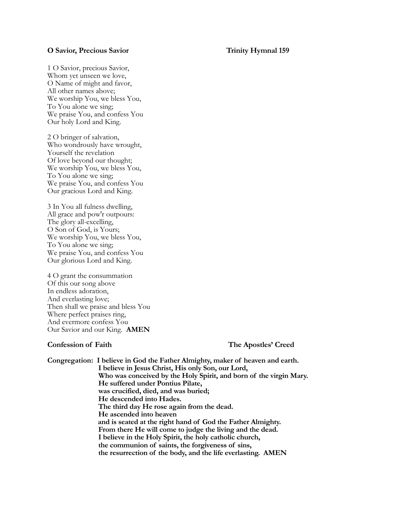#### **O Savior, Precious Savior** Trinity Hymnal 159

1 O Savior, precious Savior, Whom yet unseen we love, O Name of might and favor, All other names above; We worship You, we bless You, To You alone we sing; We praise You, and confess You Our holy Lord and King.

2 O bringer of salvation, Who wondrously have wrought, Yourself the revelation Of love beyond our thought; We worship You, we bless You, To You alone we sing; We praise You, and confess You Our gracious Lord and King.

3 In You all fulness dwelling, All grace and pow'r outpours: The glory all-excelling, O Son of God, is Yours; We worship You, we bless You, To You alone we sing; We praise You, and confess You Our glorious Lord and King.

4 O grant the consummation Of this our song above In endless adoration, And everlasting love; Then shall we praise and bless You Where perfect praises ring, And evermore confess You Our Savior and our King. **AMEN**

**Confession of Faith The Apostles' Creed**

**Congregation: I believe in God the Father Almighty, maker of heaven and earth. I believe in Jesus Christ, His only Son, our Lord, Who was conceived by the Holy Spirit, and born of the virgin Mary. He suffered under Pontius Pilate, was crucified, died, and was buried; He descended into Hades. The third day He rose again from the dead. He ascended into heaven and is seated at the right hand of God the Father Almighty. From there He will come to judge the living and the dead. I believe in the Holy Spirit, the holy catholic church, the communion of saints, the forgiveness of sins, the resurrection of the body, and the life everlasting. AMEN**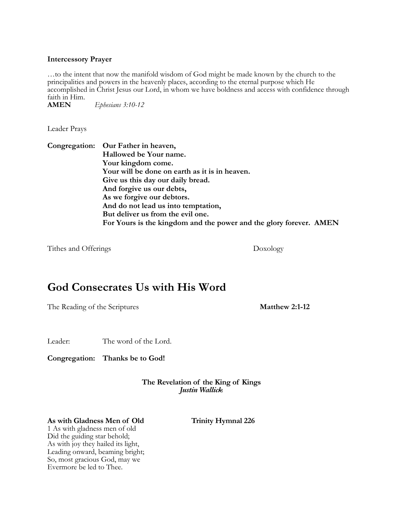#### **Intercessory Prayer**

…to the intent that now the manifold wisdom of God might be made known by the church to the principalities and powers in the heavenly places, according to the eternal purpose which He accomplished in Christ Jesus our Lord, in whom we have boldness and access with confidence through faith in Him.<br>**AMEN** 

**AMEN** *Ephesians 3:10-12*

Leader Prays

**Congregation: Our Father in heaven, Hallowed be Your name. Your kingdom come. Your will be done on earth as it is in heaven. Give us this day our daily bread. And forgive us our debts, As we forgive our debtors. And do not lead us into temptation, But deliver us from the evil one. For Yours is the kingdom and the power and the glory forever. AMEN**

Tithes and Offerings Doxology

# **God Consecrates Us with His Word**

The Reading of the Scriptures **Matthew 2:1-12** 

Leader: The word of the Lord.

**Congregation: Thanks be to God!**

**The Revelation of the King of Kings** *Justin Wallick*

#### **As with Gladness Men of Old Trinity Hymnal 226**

1 As with gladness men of old Did the guiding star behold; As with joy they hailed its light, Leading onward, beaming bright; So, most gracious God, may we Evermore be led to Thee.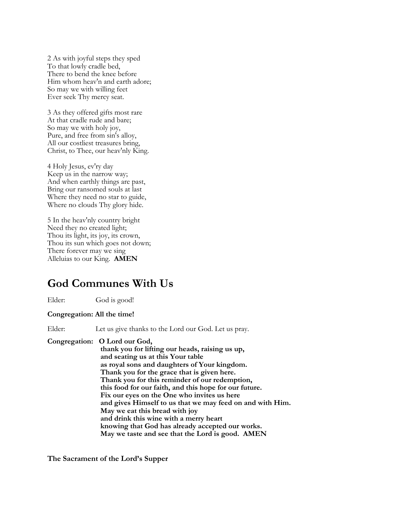2 As with joyful steps they sped To that lowly cradle bed, There to bend the knee before Him whom heav'n and earth adore; So may we with willing feet Ever seek Thy mercy seat.

3 As they offered gifts most rare At that cradle rude and bare; So may we with holy joy, Pure, and free from sin's alloy, All our costliest treasures bring, Christ, to Thee, our heav'nly King.

4 Holy Jesus, ev'ry day Keep us in the narrow way; And when earthly things are past, Bring our ransomed souls at last Where they need no star to guide, Where no clouds Thy glory hide.

5 In the heav'nly country bright Need they no created light; Thou its light, its joy, its crown, Thou its sun which goes not down; There forever may we sing Alleluias to our King. **AMEN**

# **God Communes With Us**

Elder: God is good!

#### **Congregation: All the time!**

Elder: Let us give thanks to the Lord our God. Let us pray.

### **Congregation: O Lord our God,**

 **thank you for lifting our heads, raising us up, and seating us at this Your table as royal sons and daughters of Your kingdom. Thank you for the grace that is given here. Thank you for this reminder of our redemption, this food for our faith, and this hope for our future. Fix our eyes on the One who invites us here and gives Himself to us that we may feed on and with Him. May we eat this bread with joy and drink this wine with a merry heart knowing that God has already accepted our works. May we taste and see that the Lord is good. AMEN**

**The Sacrament of the Lord's Supper**